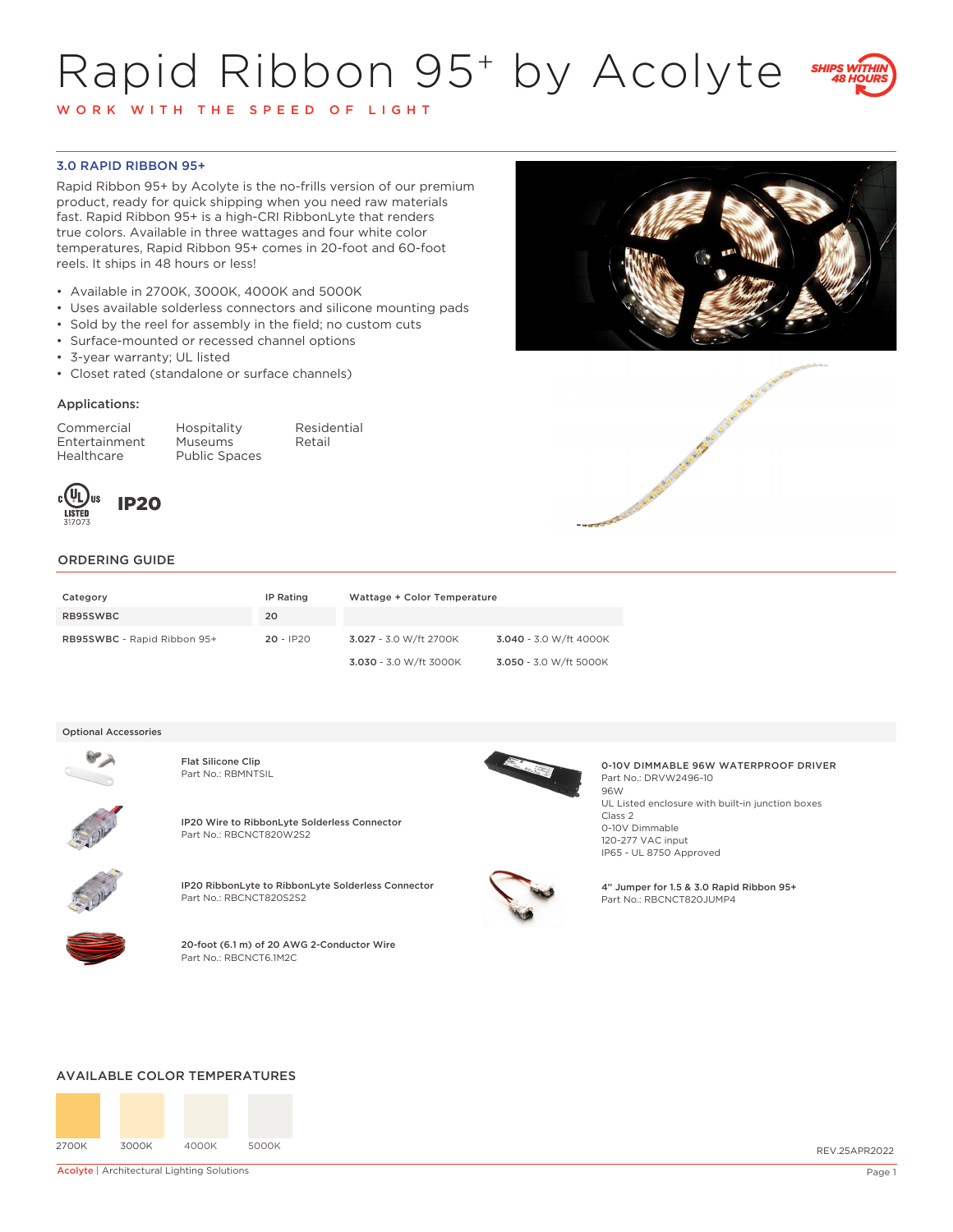# Rapid Ribbon 95+ by Acolyte



W O R K W I T H T H E S P E E D O F L I G H T

## 3.0 RAPID RIBBON 95+

Rapid Ribbon 95+ by Acolyte is the no-frills version of our premium product, ready for quick shipping when you need raw materials fast. Rapid Ribbon 95+ is a high-CRI RibbonLyte that renders true colors. Available in three wattages and four white color temperatures, Rapid Ribbon 95+ comes in 20-foot and 60-foot reels. It ships in 48 hours or less!

- Available in 2700K, 3000K, 4000K and 5000K
- Uses available solderless connectors and silicone mounting pads
- Sold by the reel for assembly in the field; no custom cuts
- Surface-mounted or recessed channel options
- 3-year warranty; UL listed
- Closet rated (standalone or surface channels)

### Applications:

Commercial Hospitality Residential Entertainment<br>Healthcare

Public Spaces





#### ORDERING GUIDE

| Category                    | IP Rating   | Wattage + Color Temperature |                        |
|-----------------------------|-------------|-----------------------------|------------------------|
| RB95SWBC                    | 20          |                             |                        |
| RB95SWBC - Rapid Ribbon 95+ | $20 - IP20$ | 3.027 - 3.0 W/ft 2700K      | 3.040 - 3.0 W/ft 4000K |
|                             |             | 3.030 - 3.0 W/ft 3000K      | 3.050 - 3.0 W/ft 5000K |

#### Optional Accessories



Flat Silicone Clip



IP20 Wire to RibbonLyte Solderless Connector Part No.: RBCNCT820W2S2



IP20 RibbonLyte to RibbonLyte Solderless Connector Part No.: RBCNCT820S2S2



20-foot (6.1 m) of 20 AWG 2-Conductor Wire Part No.: RBCNCT6.1M2C



Part No.: RBMNTSIL<br>Part No.: RBMNTSIL 0-10V DIMMABLE 96W WATERPROOF DRIVER Part No · DRVW2496-10 96W UL Listed enclosure with built-in junction boxes Class 2 0-10V Dimmable 120-277 VAC input IP65 - UL 8750 Approved

> 4" Jumper for 1.5 & 3.0 Rapid Ribbon 95+ Part No.: RBCNCT820JUMP4

### AVAILABLE COLOR TEMPERATURES



**Acolyte | Architectural Lighting Solutions** Page 1